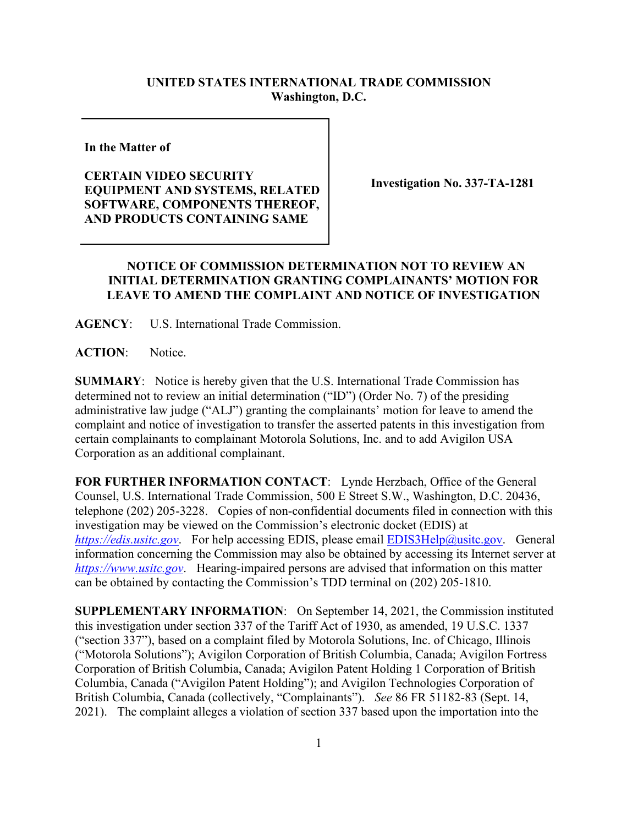## **UNITED STATES INTERNATIONAL TRADE COMMISSION Washington, D.C.**

**In the Matter of** 

## **CERTAIN VIDEO SECURITY EQUIPMENT AND SYSTEMS, RELATED SOFTWARE, COMPONENTS THEREOF, AND PRODUCTS CONTAINING SAME**

**Investigation No. 337-TA-1281**

## **NOTICE OF COMMISSION DETERMINATION NOT TO REVIEW AN INITIAL DETERMINATION GRANTING COMPLAINANTS' MOTION FOR LEAVE TO AMEND THE COMPLAINT AND NOTICE OF INVESTIGATION**

**AGENCY**: U.S. International Trade Commission.

ACTION: Notice.

**SUMMARY**: Notice is hereby given that the U.S. International Trade Commission has determined not to review an initial determination ("ID") (Order No. 7) of the presiding administrative law judge ("ALJ") granting the complainants' motion for leave to amend the complaint and notice of investigation to transfer the asserted patents in this investigation from certain complainants to complainant Motorola Solutions, Inc. and to add Avigilon USA Corporation as an additional complainant.

**FOR FURTHER INFORMATION CONTACT**: Lynde Herzbach, Office of the General Counsel, U.S. International Trade Commission, 500 E Street S.W., Washington, D.C. 20436, telephone (202) 205-3228. Copies of non-confidential documents filed in connection with this investigation may be viewed on the Commission's electronic docket (EDIS) at *[https://edis.usitc.gov](https://edis.usitc.gov/)*. For help accessing EDIS, please email [EDIS3Help@usitc.gov.](mailto:EDIS3Help@usitc.gov) General information concerning the Commission may also be obtained by accessing its Internet server at *[https://www.usitc.gov](https://www.usitc.gov/)*. Hearing-impaired persons are advised that information on this matter can be obtained by contacting the Commission's TDD terminal on (202) 205-1810.

**SUPPLEMENTARY INFORMATION**: On September 14, 2021, the Commission instituted this investigation under section 337 of the Tariff Act of 1930, as amended, 19 U.S.C. 1337 ("section 337"), based on a complaint filed by Motorola Solutions, Inc. of Chicago, Illinois ("Motorola Solutions"); Avigilon Corporation of British Columbia, Canada; Avigilon Fortress Corporation of British Columbia, Canada; Avigilon Patent Holding 1 Corporation of British Columbia, Canada ("Avigilon Patent Holding"); and Avigilon Technologies Corporation of British Columbia, Canada (collectively, "Complainants"). *See* 86 FR 51182-83 (Sept. 14, 2021). The complaint alleges a violation of section 337 based upon the importation into the